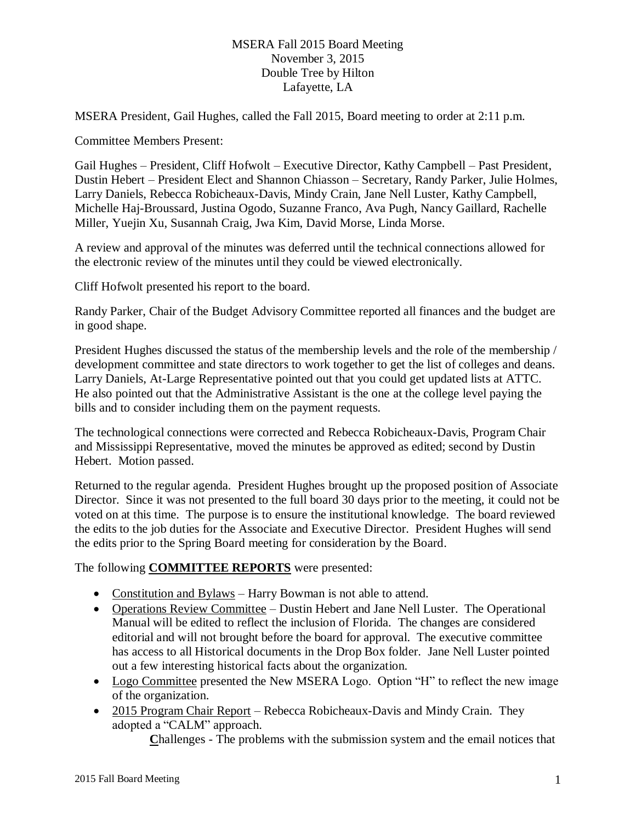MSERA President, Gail Hughes, called the Fall 2015, Board meeting to order at 2:11 p.m.

Committee Members Present:

Gail Hughes – President, Cliff Hofwolt – Executive Director, Kathy Campbell – Past President, Dustin Hebert – President Elect and Shannon Chiasson – Secretary, Randy Parker, Julie Holmes, Larry Daniels, Rebecca Robicheaux-Davis, Mindy Crain, Jane Nell Luster, Kathy Campbell, Michelle Haj-Broussard, Justina Ogodo, Suzanne Franco, Ava Pugh, Nancy Gaillard, Rachelle Miller, Yuejin Xu, Susannah Craig, Jwa Kim, David Morse, Linda Morse.

A review and approval of the minutes was deferred until the technical connections allowed for the electronic review of the minutes until they could be viewed electronically.

Cliff Hofwolt presented his report to the board.

Randy Parker, Chair of the Budget Advisory Committee reported all finances and the budget are in good shape.

President Hughes discussed the status of the membership levels and the role of the membership / development committee and state directors to work together to get the list of colleges and deans. Larry Daniels, At-Large Representative pointed out that you could get updated lists at ATTC. He also pointed out that the Administrative Assistant is the one at the college level paying the bills and to consider including them on the payment requests.

The technological connections were corrected and Rebecca Robicheaux-Davis, Program Chair and Mississippi Representative, moved the minutes be approved as edited; second by Dustin Hebert. Motion passed.

Returned to the regular agenda. President Hughes brought up the proposed position of Associate Director. Since it was not presented to the full board 30 days prior to the meeting, it could not be voted on at this time. The purpose is to ensure the institutional knowledge. The board reviewed the edits to the job duties for the Associate and Executive Director. President Hughes will send the edits prior to the Spring Board meeting for consideration by the Board.

The following **COMMITTEE REPORTS** were presented:

- Constitution and Bylaws Harry Bowman is not able to attend.
- Operations Review Committee Dustin Hebert and Jane Nell Luster. The Operational Manual will be edited to reflect the inclusion of Florida. The changes are considered editorial and will not brought before the board for approval. The executive committee has access to all Historical documents in the Drop Box folder. Jane Nell Luster pointed out a few interesting historical facts about the organization.
- Logo Committee presented the New MSERA Logo. Option "H" to reflect the new image of the organization.
- 2015 Program Chair Report Rebecca Robicheaux-Davis and Mindy Crain. They adopted a "CALM" approach.

**C**hallenges - The problems with the submission system and the email notices that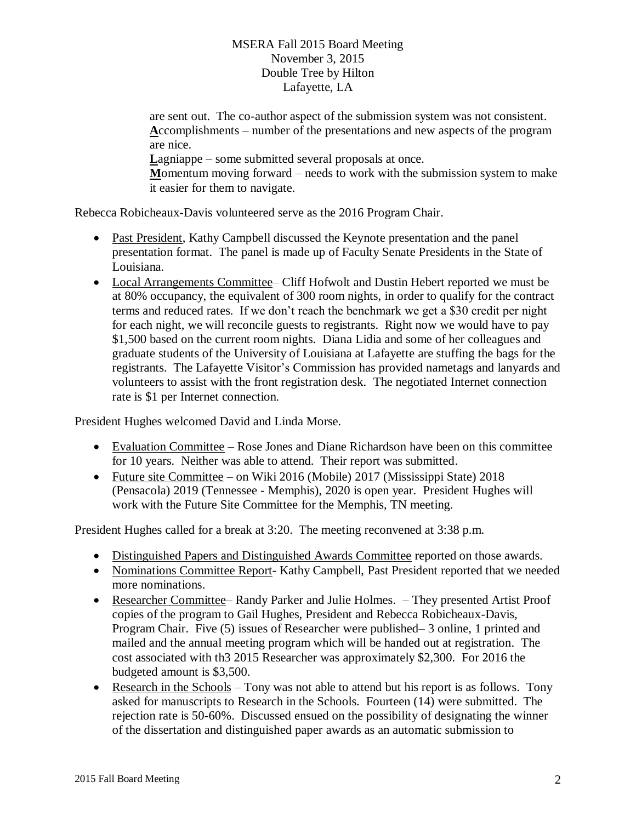are sent out. The co-author aspect of the submission system was not consistent. **A**ccomplishments – number of the presentations and new aspects of the program are nice. Lagniappe – some submitted several proposals at once. **M**omentum moving forward – needs to work with the submission system to make it easier for them to navigate.

Rebecca Robicheaux-Davis volunteered serve as the 2016 Program Chair.

- Past President, Kathy Campbell discussed the Keynote presentation and the panel presentation format. The panel is made up of Faculty Senate Presidents in the State of Louisiana.
- Local Arrangements Committee– Cliff Hofwolt and Dustin Hebert reported we must be at 80% occupancy, the equivalent of 300 room nights, in order to qualify for the contract terms and reduced rates. If we don't reach the benchmark we get a \$30 credit per night for each night, we will reconcile guests to registrants. Right now we would have to pay \$1,500 based on the current room nights. Diana Lidia and some of her colleagues and graduate students of the University of Louisiana at Lafayette are stuffing the bags for the registrants. The Lafayette Visitor's Commission has provided nametags and lanyards and volunteers to assist with the front registration desk. The negotiated Internet connection rate is \$1 per Internet connection.

President Hughes welcomed David and Linda Morse.

- Evaluation Committee Rose Jones and Diane Richardson have been on this committee for 10 years. Neither was able to attend. Their report was submitted.
- Future site Committee on Wiki 2016 (Mobile) 2017 (Mississippi State) 2018 (Pensacola) 2019 (Tennessee - Memphis), 2020 is open year. President Hughes will work with the Future Site Committee for the Memphis, TN meeting.

President Hughes called for a break at 3:20. The meeting reconvened at 3:38 p.m.

- Distinguished Papers and Distinguished Awards Committee reported on those awards.
- Nominations Committee Report- Kathy Campbell, Past President reported that we needed more nominations.
- Researcher Committee– Randy Parker and Julie Holmes. They presented Artist Proof copies of the program to Gail Hughes, President and Rebecca Robicheaux-Davis, Program Chair. Five (5) issues of Researcher were published– 3 online, 1 printed and mailed and the annual meeting program which will be handed out at registration. The cost associated with th3 2015 Researcher was approximately \$2,300. For 2016 the budgeted amount is \$3,500.
- Research in the Schools Tony was not able to attend but his report is as follows. Tony asked for manuscripts to Research in the Schools. Fourteen (14) were submitted. The rejection rate is 50-60%. Discussed ensued on the possibility of designating the winner of the dissertation and distinguished paper awards as an automatic submission to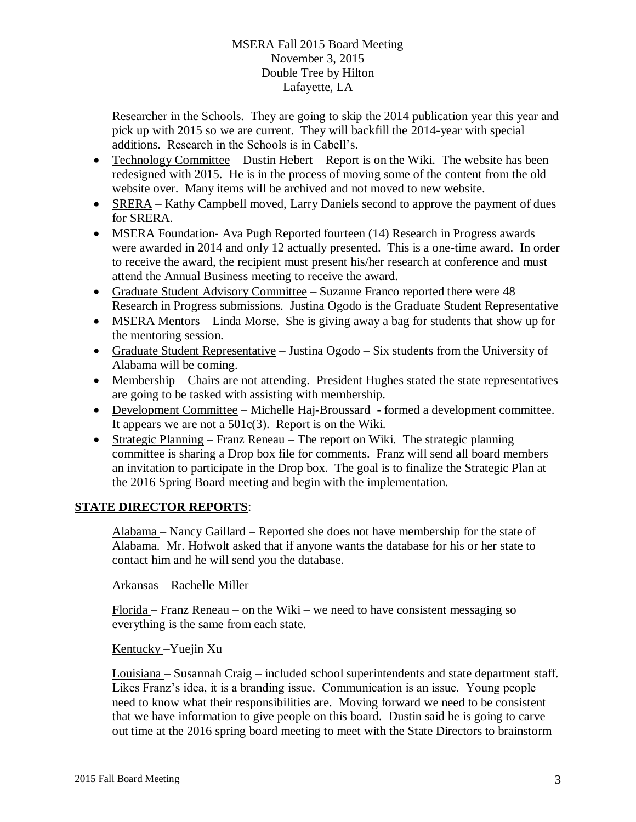Researcher in the Schools. They are going to skip the 2014 publication year this year and pick up with 2015 so we are current. They will backfill the 2014-year with special additions. Research in the Schools is in Cabell's.

- Technology Committee Dustin Hebert Report is on the Wiki. The website has been redesigned with 2015. He is in the process of moving some of the content from the old website over. Many items will be archived and not moved to new website.
- SRERA Kathy Campbell moved, Larry Daniels second to approve the payment of dues for SRERA.
- MSERA Foundation- Ava Pugh Reported fourteen (14) Research in Progress awards were awarded in 2014 and only 12 actually presented. This is a one-time award. In order to receive the award, the recipient must present his/her research at conference and must attend the Annual Business meeting to receive the award.
- Graduate Student Advisory Committee Suzanne Franco reported there were 48 Research in Progress submissions. Justina Ogodo is the Graduate Student Representative
- MSERA Mentors Linda Morse. She is giving away a bag for students that show up for the mentoring session.
- Graduate Student Representative Justina Ogodo Six students from the University of Alabama will be coming.
- Membership Chairs are not attending. President Hughes stated the state representatives are going to be tasked with assisting with membership.
- Development Committee Michelle Haj-Broussard formed a development committee. It appears we are not a 501c(3). Report is on the Wiki.
- Strategic Planning Franz Reneau The report on Wiki. The strategic planning committee is sharing a Drop box file for comments. Franz will send all board members an invitation to participate in the Drop box. The goal is to finalize the Strategic Plan at the 2016 Spring Board meeting and begin with the implementation.

# **STATE DIRECTOR REPORTS**:

Alabama – Nancy Gaillard – Reported she does not have membership for the state of Alabama. Mr. Hofwolt asked that if anyone wants the database for his or her state to contact him and he will send you the database.

Arkansas – Rachelle Miller

 $Florida - Franz$  Reneau – on the Wiki – we need to have consistent messaging so everything is the same from each state.

Kentucky –Yuejin Xu

Louisiana – Susannah Craig – included school superintendents and state department staff. Likes Franz's idea, it is a branding issue. Communication is an issue. Young people need to know what their responsibilities are. Moving forward we need to be consistent that we have information to give people on this board. Dustin said he is going to carve out time at the 2016 spring board meeting to meet with the State Directors to brainstorm